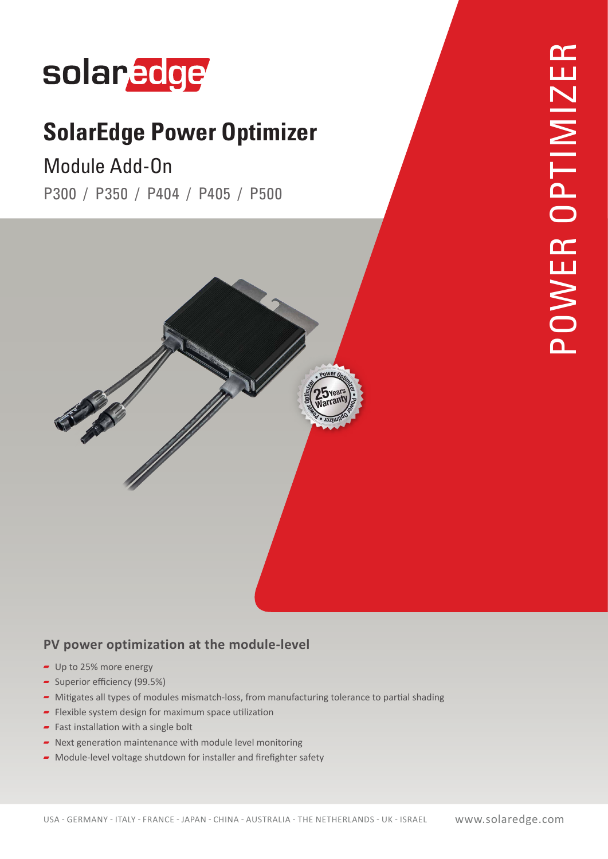# solaredge

## **SolarEdge Power Optimizer**

### Module Add-On

P300 / P350 / P404 / P405 / P500



#### PV power optimization at the module-level

- $\blacksquare$  Up to 25% more energy
- $\sim$  Superior efficiency (99.5%)
- Mitigates all types of modules mismatch-loss, from manufacturing tolerance to partial shading
- Flexible system design for maximum space utilization
- Fast installation with a single bolt
- $\blacksquare$  Next generation maintenance with module level monitoring
- $\blacktriangleright$  Module-level voltage shutdown for installer and firefighter safety